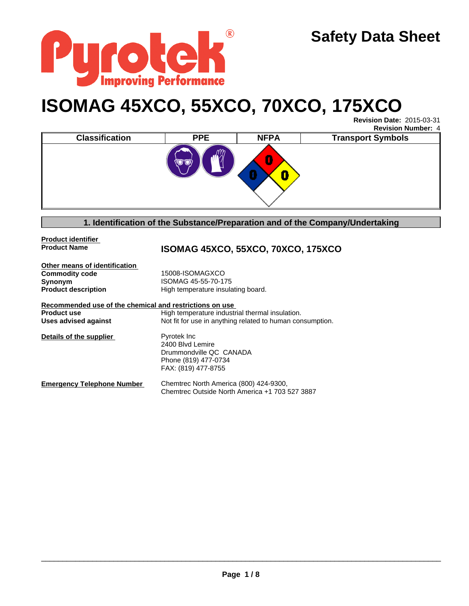

# **ISOMAG 45XCO, 55XCO, 70XCO, 175XCO**

**Revision Date:** 2015-03-31 **Revision Number:** 4

| ÷<br>O<br>$\overline{\mathbf{a}}$<br>رب | <b>Classification</b> | <b>PPE</b> | <b>NFPA</b> | <b>Transport Symbols</b> |  |
|-----------------------------------------|-----------------------|------------|-------------|--------------------------|--|
| п                                       |                       |            |             |                          |  |

**1. Identification of the Substance/Preparation and of the Company/Undertaking**

**Product identifier** 

**Product Name ISOMAG 45XCO, 55XCO, 70XCO, 175XCO**

**Other means of identification**<br>**Commodity code Commodity code 15008-ISOMAGXCO**<br> **Synonym** ISOMAG 45-55-70-17 **Synonym**<br> **Product description**<br> **I** High temperature insulary

High temperature insulating board.

| Recommended use of the chemical and restrictions on use |                                                           |
|---------------------------------------------------------|-----------------------------------------------------------|
| <b>Product use</b>                                      | High temperature industrial thermal insulation.           |
| Uses advised against                                    | Not fit for use in anything related to human consumption. |
| Details of the supplier                                 | Pyrotek Inc<br>2400 Blvd Lemire                           |
|                                                         | Drummondville QC CANADA                                   |
|                                                         | Phone (819) 477-0734                                      |
|                                                         | FAX: (819) 477-8755                                       |
| <b>Emergency Telephone Number</b>                       | Chemtrec North America (800) 424-9300,                    |
|                                                         | Chemtrec Outside North America +1 703 527 3887            |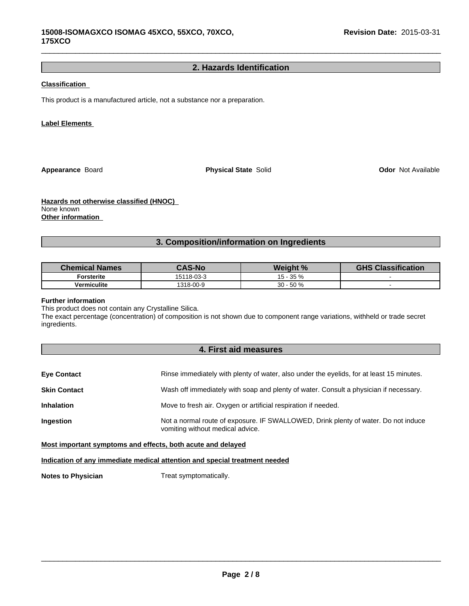# **2. Hazards Identification**

 $\_$  ,  $\_$  ,  $\_$  ,  $\_$  ,  $\_$  ,  $\_$  ,  $\_$  ,  $\_$  ,  $\_$  ,  $\_$  ,  $\_$  ,  $\_$  ,  $\_$  ,  $\_$  ,  $\_$  ,  $\_$  ,  $\_$  ,  $\_$  ,  $\_$  ,  $\_$  ,  $\_$  ,  $\_$  ,  $\_$  ,  $\_$  ,  $\_$  ,  $\_$  ,  $\_$  ,  $\_$  ,  $\_$  ,  $\_$  ,  $\_$  ,  $\_$  ,  $\_$  ,  $\_$  ,  $\_$  ,  $\_$  ,  $\_$  ,

## **Classification**

This product is a manufactured article, not a substance nor a preparation.

## **Label Elements**

**Appearance** Board

**Physical State Solid Community Construction Community Construction Odor Not Available** 

**Hazards not otherwise classified (HNOC)**  None known **Other information** 

**3. Composition/information on Ingredients**

| <b>Chemical Names</b> | <b>CAS-No</b> | Weight %     | <b>GHS Classification</b> |
|-----------------------|---------------|--------------|---------------------------|
| Forsterite            | 15118-03-3    | $15 - 35 \%$ |                           |
| <b>Vermiculite</b>    | 1318-00-9     | $30 - 50%$   |                           |

#### **Further information**

This product does not contain any Crystalline Silica.

The exact percentage (concentration) of composition is not shown due to component range variations, withheld or trade secret ingredients.

# **4. First aid measures**

| <b>Eye Contact</b>  | Rinse immediately with plenty of water, also under the eyelids, for at least 15 minutes.                               |
|---------------------|------------------------------------------------------------------------------------------------------------------------|
| <b>Skin Contact</b> | Wash off immediately with soap and plenty of water. Consult a physician if necessary.                                  |
| <b>Inhalation</b>   | Move to fresh air. Oxygen or artificial respiration if needed.                                                         |
| <b>Ingestion</b>    | Not a normal route of exposure. IF SWALLOWED, Drink plenty of water. Do not induce<br>vomiting without medical advice. |

**Most important symptoms and effects, both acute and delayed**

**Indication of any immediate medical attention and special treatment needed**

**Notes to Physician** Treat symptomatically.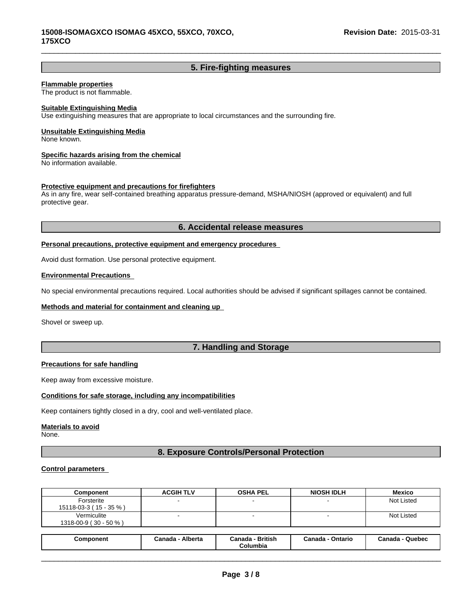# **5. Fire-fighting measures**

 $\_$  ,  $\_$  ,  $\_$  ,  $\_$  ,  $\_$  ,  $\_$  ,  $\_$  ,  $\_$  ,  $\_$  ,  $\_$  ,  $\_$  ,  $\_$  ,  $\_$  ,  $\_$  ,  $\_$  ,  $\_$  ,  $\_$  ,  $\_$  ,  $\_$  ,  $\_$  ,  $\_$  ,  $\_$  ,  $\_$  ,  $\_$  ,  $\_$  ,  $\_$  ,  $\_$  ,  $\_$  ,  $\_$  ,  $\_$  ,  $\_$  ,  $\_$  ,  $\_$  ,  $\_$  ,  $\_$  ,  $\_$  ,  $\_$  ,

## **Flammable properties**

The product is not flammable.

## **Suitable Extinguishing Media**

Use extinguishing measures that are appropriate to local circumstances and the surrounding fire.

#### **Unsuitable Extinguishing Media**

None known.

## **Specific hazards arising from the chemical**

No information available.

## **Protective equipment and precautions for firefighters**

As in any fire, wear self-contained breathing apparatus pressure-demand, MSHA/NIOSH (approved or equivalent) and full protective gear.

## **6. Accidental release measures**

## **Personal precautions, protective equipment and emergency procedures**

Avoid dust formation. Use personal protective equipment.

## **Environmental Precautions**

No special environmental precautions required. Local authorities should be advised if significant spillages cannot be contained.

#### **Methods and material for containment and cleaning up**

Shovel or sweep up.

# **7. Handling and Storage**

## **Precautions for safe handling**

Keep away from excessive moisture.

## **Conditions for safe storage, including any incompatibilities**

Keep containers tightly closed in a dry, cool and well-ventilated place.

#### **Materials to avoid**

None.

# **8. Exposure Controls/Personal Protection**

## **Control parameters**

| Component                            | <b>ACGIH TLV</b> | <b>OSHA PEL</b> | <b>NIOSH IDLH</b> | <b>Mexico</b>     |
|--------------------------------------|------------------|-----------------|-------------------|-------------------|
| Forsterite<br>15118-03-3 (15 - 35 %) |                  |                 |                   | <b>Not Listed</b> |
| Vermiculite<br>1318-00-9 (30 - 50 %) |                  |                 |                   | Not Listed        |
|                                      |                  |                 |                   |                   |

| Alberta<br>British<br>- Quebec<br>Canada<br>Canada<br>Canada<br>Ontario<br>Canada<br>Component<br>Columbia |
|------------------------------------------------------------------------------------------------------------|
|------------------------------------------------------------------------------------------------------------|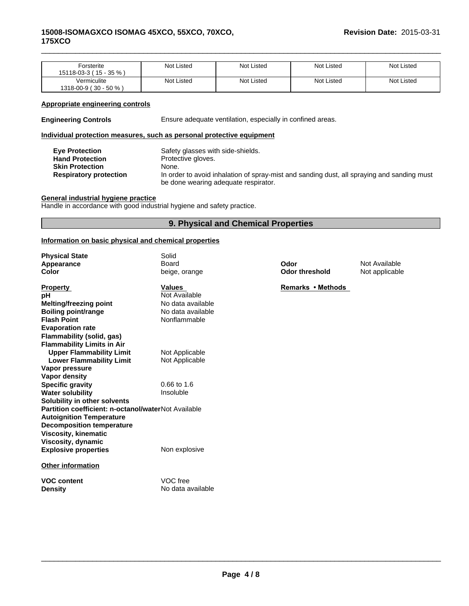## **15008-ISOMAGXCO ISOMAG 45XCO, 55XCO, 70XCO, 175XCO**

| Forsterite<br>15118-03-3 (15 - 35 %) | Not Listed | Not Listed | <b>Not Listed</b> | <b>Not Listed</b> |
|--------------------------------------|------------|------------|-------------------|-------------------|
| Vermiculite<br>1318-00-9 (30 - 50 %) | Not Listed | Not Listed | Not Listed        | <b>Not Listed</b> |

 $\_$  ,  $\_$  ,  $\_$  ,  $\_$  ,  $\_$  ,  $\_$  ,  $\_$  ,  $\_$  ,  $\_$  ,  $\_$  ,  $\_$  ,  $\_$  ,  $\_$  ,  $\_$  ,  $\_$  ,  $\_$  ,  $\_$  ,  $\_$  ,  $\_$  ,  $\_$  ,  $\_$  ,  $\_$  ,  $\_$  ,  $\_$  ,  $\_$  ,  $\_$  ,  $\_$  ,  $\_$  ,  $\_$  ,  $\_$  ,  $\_$  ,  $\_$  ,  $\_$  ,  $\_$  ,  $\_$  ,  $\_$  ,  $\_$  ,

## **Appropriate engineering controls**

**Engineering Controls** Ensure adequate ventilation, especially in confined areas.

## **Individual protection measures, such as personal protective equipment**

| <b>Eve Protection</b>         | Safety glasses with side-shields.                                                                                                  |
|-------------------------------|------------------------------------------------------------------------------------------------------------------------------------|
| <b>Hand Protection</b>        | Protective gloves.                                                                                                                 |
| <b>Skin Protection</b>        | None.                                                                                                                              |
| <b>Respiratory protection</b> | In order to avoid inhalation of spray-mist and sanding dust, all spraying and sanding must<br>be done wearing adequate respirator. |

#### **General industrial hygiene practice**

Handle in accordance with good industrial hygiene and safety practice.

# **9. Physical and Chemical Properties**

## **Information on basic physical and chemical properties**

| <b>Physical State</b><br>Appearance<br>Color        | Solid<br>Board<br>beige, orange | Odor<br><b>Odor threshold</b> | Not Available<br>Not applicable |
|-----------------------------------------------------|---------------------------------|-------------------------------|---------------------------------|
| <b>Property</b>                                     | <b>Values</b>                   | Remarks • Methods             |                                 |
| рH                                                  | Not Available                   |                               |                                 |
| <b>Melting/freezing point</b>                       | No data available               |                               |                                 |
| <b>Boiling point/range</b>                          | No data available               |                               |                                 |
| <b>Flash Point</b>                                  | Nonflammable                    |                               |                                 |
| <b>Evaporation rate</b>                             |                                 |                               |                                 |
| <b>Flammability (solid, gas)</b>                    |                                 |                               |                                 |
| <b>Flammability Limits in Air</b>                   |                                 |                               |                                 |
| <b>Upper Flammability Limit</b>                     | Not Applicable                  |                               |                                 |
| <b>Lower Flammability Limit</b>                     | Not Applicable                  |                               |                                 |
| Vapor pressure                                      |                                 |                               |                                 |
| Vapor density                                       |                                 |                               |                                 |
| <b>Specific gravity</b>                             | $0.66$ to 1.6                   |                               |                                 |
| <b>Water solubility</b>                             | Insoluble                       |                               |                                 |
| Solubility in other solvents                        |                                 |                               |                                 |
| Partition coefficient: n-octanol/waterNot Available |                                 |                               |                                 |
| <b>Autoignition Temperature</b>                     |                                 |                               |                                 |
| <b>Decomposition temperature</b>                    |                                 |                               |                                 |
| Viscosity, kinematic                                |                                 |                               |                                 |
| Viscosity, dynamic                                  |                                 |                               |                                 |
| <b>Explosive properties</b>                         | Non explosive                   |                               |                                 |
| <b>Other information</b>                            |                                 |                               |                                 |
| <b>VOC content</b>                                  | VOC free                        |                               |                                 |
| <b>Density</b>                                      | No data available               |                               |                                 |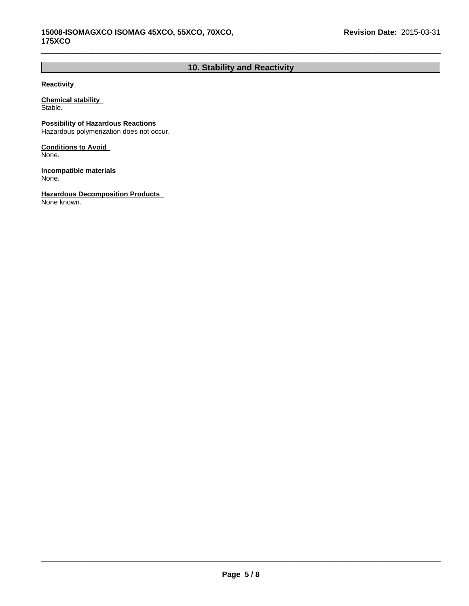# **10. Stability and Reactivity**

 $\_$  ,  $\_$  ,  $\_$  ,  $\_$  ,  $\_$  ,  $\_$  ,  $\_$  ,  $\_$  ,  $\_$  ,  $\_$  ,  $\_$  ,  $\_$  ,  $\_$  ,  $\_$  ,  $\_$  ,  $\_$  ,  $\_$  ,  $\_$  ,  $\_$  ,  $\_$  ,  $\_$  ,  $\_$  ,  $\_$  ,  $\_$  ,  $\_$  ,  $\_$  ,  $\_$  ,  $\_$  ,  $\_$  ,  $\_$  ,  $\_$  ,  $\_$  ,  $\_$  ,  $\_$  ,  $\_$  ,  $\_$  ,  $\_$  ,

## **Reactivity**

**Chemical stability**  Stable.

**Possibility of Hazardous Reactions** 

Hazardous polymerization does not occur.

**Conditions to Avoid**  None.

**Incompatible materials**  None.

**Hazardous Decomposition Products**  None known.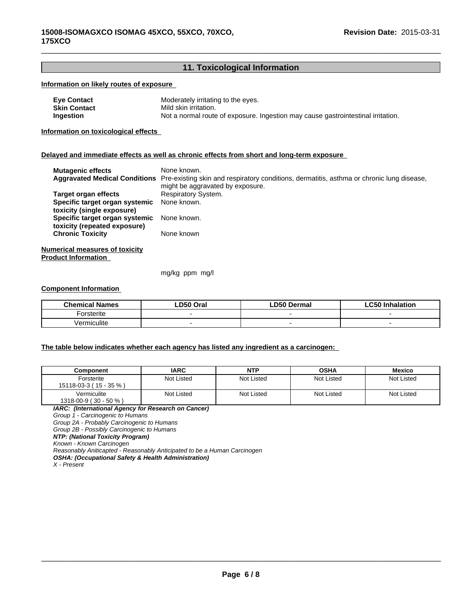# **11. Toxicological Information**

 $\_$  ,  $\_$  ,  $\_$  ,  $\_$  ,  $\_$  ,  $\_$  ,  $\_$  ,  $\_$  ,  $\_$  ,  $\_$  ,  $\_$  ,  $\_$  ,  $\_$  ,  $\_$  ,  $\_$  ,  $\_$  ,  $\_$  ,  $\_$  ,  $\_$  ,  $\_$  ,  $\_$  ,  $\_$  ,  $\_$  ,  $\_$  ,  $\_$  ,  $\_$  ,  $\_$  ,  $\_$  ,  $\_$  ,  $\_$  ,  $\_$  ,  $\_$  ,  $\_$  ,  $\_$  ,  $\_$  ,  $\_$  ,  $\_$  ,

## **Information on likely routes of exposure**

| <b>Eye Contact</b> | Moderately irritating to the eyes.                                               |
|--------------------|----------------------------------------------------------------------------------|
| Skin Contact       | Mild skin irritation.                                                            |
| Ingestion          | Not a normal route of exposure. Ingestion may cause gastrointestinal irritation. |

**Information on toxicological effects** 

## **Delayed and immediate effects as well as chronic effects from short and long-term exposure**

| <b>Mutagenic effects</b>                                       | None known.<br>Aggravated Medical Conditions Pre-existing skin and respiratory conditions, dermatitis, asthma or chronic lung disease,<br>might be aggravated by exposure. |
|----------------------------------------------------------------|----------------------------------------------------------------------------------------------------------------------------------------------------------------------------|
| Target organ effects                                           | <b>Respiratory System.</b>                                                                                                                                                 |
| Specific target organ systemic<br>toxicity (single exposure)   | None known.                                                                                                                                                                |
| Specific target organ systemic<br>toxicity (repeated exposure) | None known.                                                                                                                                                                |
| <b>Chronic Toxicity</b>                                        | None known                                                                                                                                                                 |
| <b>Numerical measures of toxicity</b>                          |                                                                                                                                                                            |
| <b>Product Information</b>                                     |                                                                                                                                                                            |

mg/kg ppm mg/l

## **Component Information**

| <b>Chemical Names</b>   | .D50 Oral | <b>D50 Dermal</b> | CFA<br>Inhalation<br>. . |
|-------------------------|-----------|-------------------|--------------------------|
| orsterite               |           |                   |                          |
| $\cdots$<br>Vermiculite |           |                   |                          |

## **The table below indicates whether each agency has listed any ingredient as a carcinogen:**

| Component                            | <b>IARC</b> | <b>NTP</b> | <b>OSHA</b> | Mexico     |
|--------------------------------------|-------------|------------|-------------|------------|
| Forsterite<br>15118-03-3 (15 - 35 %) | Not Listed  | Not Listed | Not Listed  | Not Listed |
| Vermiculite<br>1318-00-9 (30 - 50 %) | Not Listed  | Not Listed | Not Listed  | Not Listed |

*IARC: (International Agency for Research on Cancer) Group 1 - Carcinogenic to Humans Group 2A - Probably Carcinogenic to Humans Group 2B - Possibly Carcinogenic to Humans*

*NTP: (National Toxicity Program)*

*Known - Known Carcinogen*

*Reasonably Aniticapted - Reasonably Anticipated to be a Human Carcinogen*

*OSHA: (Occupational Safety & Health Administration)*

*X - Present*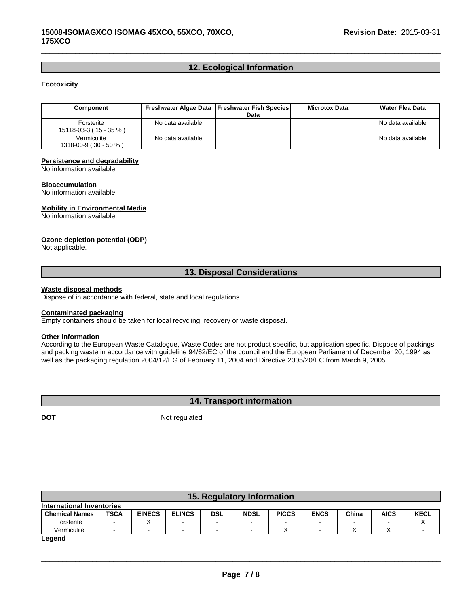# **12. Ecological Information**

 $\_$  ,  $\_$  ,  $\_$  ,  $\_$  ,  $\_$  ,  $\_$  ,  $\_$  ,  $\_$  ,  $\_$  ,  $\_$  ,  $\_$  ,  $\_$  ,  $\_$  ,  $\_$  ,  $\_$  ,  $\_$  ,  $\_$  ,  $\_$  ,  $\_$  ,  $\_$  ,  $\_$  ,  $\_$  ,  $\_$  ,  $\_$  ,  $\_$  ,  $\_$  ,  $\_$  ,  $\_$  ,  $\_$  ,  $\_$  ,  $\_$  ,  $\_$  ,  $\_$  ,  $\_$  ,  $\_$  ,  $\_$  ,  $\_$  ,

## **Ecotoxicity**

| Component                            |                   | Freshwater Algae Data   Freshwater Fish Species  <br>Data | <b>Microtox Data</b> | Water Flea Data   |
|--------------------------------------|-------------------|-----------------------------------------------------------|----------------------|-------------------|
| Forsterite<br>15118-03-3 (15 - 35 %) | No data available |                                                           |                      | No data available |
| Vermiculite<br>1318-00-9 (30 - 50 %) | No data available |                                                           |                      | No data available |

#### **Persistence and degradability**

No information available.

#### **Bioaccumulation**

No information available.

## **Mobility in Environmental Media**

No information available.

## **Ozone depletion potential (ODP)**

Not applicable.

## **13. Disposal Considerations**

## **Waste disposal methods**

Dispose of in accordance with federal, state and local regulations.

#### **Contaminated packaging**

Empty containers should be taken for local recycling, recovery or waste disposal.

#### **Other information**

According to the European Waste Catalogue, Waste Codes are not product specific, but application specific. Dispose of packings and packing waste in accordance with guideline 94/62/EC of the council and the European Parliament of December 20, 1994 as well as the packaging regulation 2004/12/EG of February 11, 2004 and Directive 2005/20/EC from March 9, 2005.

# **14. Transport information**

**DOT** Not regulated

| 15. Regulatory Information |             |                          |               |                          |             |              |             |       |             |             |
|----------------------------|-------------|--------------------------|---------------|--------------------------|-------------|--------------|-------------|-------|-------------|-------------|
| International Inventories  |             |                          |               |                          |             |              |             |       |             |             |
| <b>Chemical Names</b>      | <b>TSCA</b> | <b>EINECS</b>            | <b>ELINCS</b> | <b>DSL</b>               | <b>NDSL</b> | <b>PICCS</b> | <b>ENCS</b> | China | <b>AICS</b> | <b>KECL</b> |
| Forsterite                 |             |                          |               | $\overline{\phantom{0}}$ |             |              |             |       |             |             |
| Vermiculite                |             | $\overline{\phantom{0}}$ |               | $\overline{\phantom{0}}$ |             |              |             |       |             |             |
|                            |             |                          |               |                          |             |              |             |       |             |             |

**Legend**